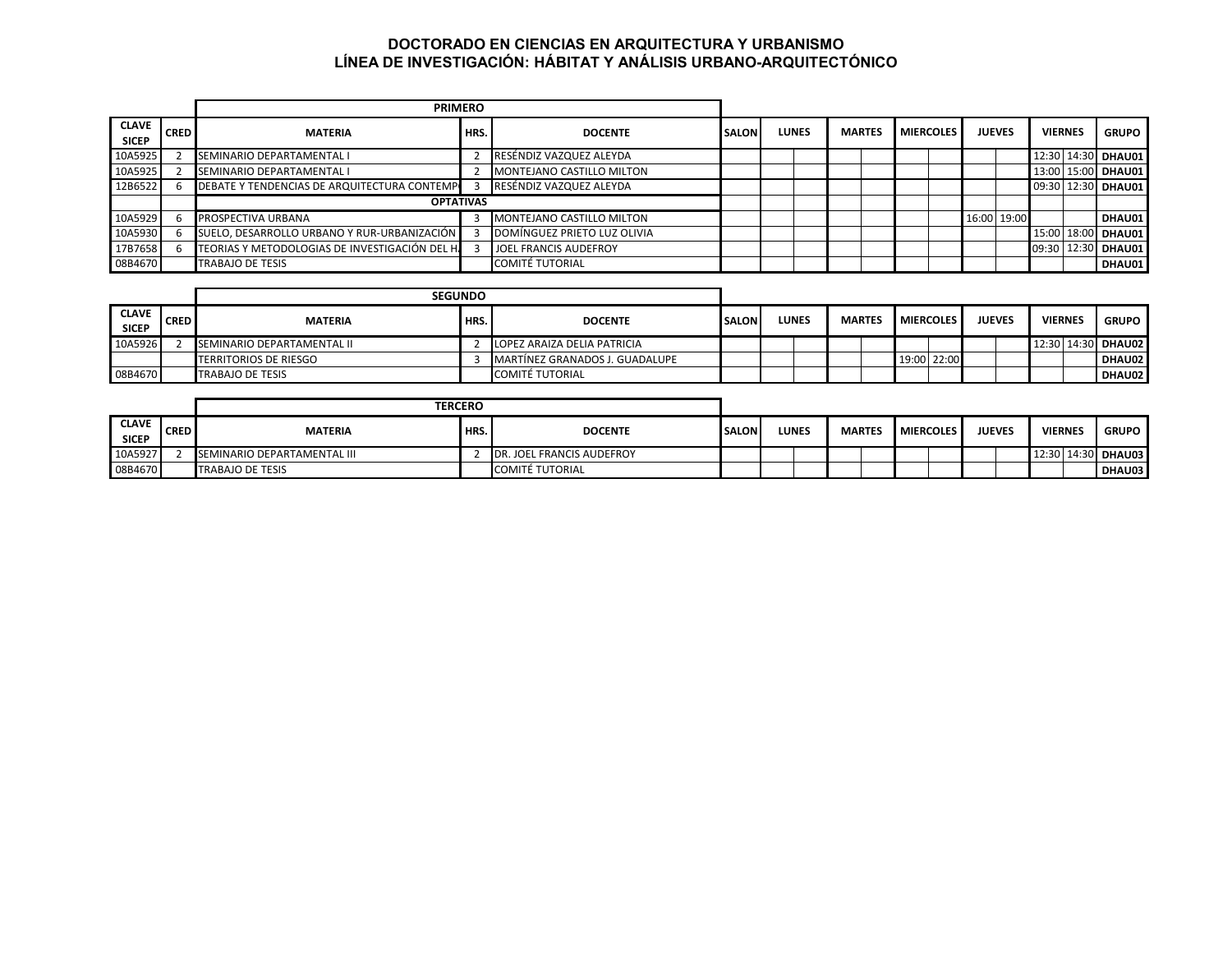## **DOCTORADO EN CIENCIAS EN ARQUITECTURA Y URBANISMO LÍNEA DE INVESTIGACIÓN: HÁBITAT Y ANÁLISIS URBANO-ARQUITECTÓNICO**

|                              |             | <b>PRIMERO</b>                                 |                  |                              |              |              |               |                  |  |               |             |                |                    |
|------------------------------|-------------|------------------------------------------------|------------------|------------------------------|--------------|--------------|---------------|------------------|--|---------------|-------------|----------------|--------------------|
| <b>CLAVE</b><br><b>SICEP</b> | <b>CRED</b> | <b>MATERIA</b>                                 | HRS.             | <b>DOCENTE</b>               | <b>SALON</b> | <b>LUNES</b> | <b>MARTES</b> | <b>MIERCOLES</b> |  | <b>JUEVES</b> |             | <b>VIERNES</b> | <b>GRUPO</b>       |
| 10A5925                      |             | <b>SEMINARIO DEPARTAMENTAL I</b>               |                  | RESÉNDIZ VAZQUEZ ALEYDA      |              |              |               |                  |  |               |             |                | 12:30 14:30 DHAU01 |
| 10A5925                      |             | SEMINARIO DEPARTAMENTAL I                      |                  | MONTEJANO CASTILLO MILTON    |              |              |               |                  |  |               |             |                | 13:00 15:00 DHAU01 |
| 12B6522                      |             | DEBATE Y TENDENCIAS DE ARQUITECTURA CONTEMPI   |                  | RESÉNDIZ VAZQUEZ ALEYDA      |              |              |               |                  |  |               |             |                | 09:30 12:30 DHAU01 |
|                              |             |                                                | <b>OPTATIVAS</b> |                              |              |              |               |                  |  |               |             |                |                    |
| 10A5929                      |             | PROSPECTIVA URBANA                             |                  | MONTEJANO CASTILLO MILTON    |              |              |               |                  |  |               | 16:00 19:00 |                | DHAU01             |
| 10A5930                      |             | SUELO, DESARROLLO URBANO Y RUR-URBANIZACIÓN    |                  | DOMÍNGUEZ PRIETO LUZ OLIVIA  |              |              |               |                  |  |               |             |                | 15:00 18:00 DHAU01 |
| 17B7658                      |             | TEORIAS Y METODOLOGIAS DE INVESTIGACIÓN DEL H. |                  | <b>JOEL FRANCIS AUDEFROY</b> |              |              |               |                  |  |               |             |                | 09:30 12:30 DHAU01 |
| 08B4670                      |             | <b>TRABAJO DE TESIS</b>                        |                  | <b>COMITÉ TUTORIAL</b>       |              |              |               |                  |  |               |             |                | DHAU01             |

|                              |             |                            | <b>SEGUNDO</b> |                                |              |  |       |               |  |                  |               |                |                    |
|------------------------------|-------------|----------------------------|----------------|--------------------------------|--------------|--|-------|---------------|--|------------------|---------------|----------------|--------------------|
| <b>CLAVE</b><br><b>SICEP</b> | <b>CRED</b> | <b>MATERIA</b>             | HRS.           | <b>DOCENTE</b>                 | <b>SALON</b> |  | LUNES | <b>MARTES</b> |  | <b>MIERCOLES</b> | <b>JUEVES</b> | <b>VIERNES</b> | <b>GRUPO</b>       |
| 10A5926                      |             | SEMINARIO DEPARTAMENTAL II |                | LOPEZ ARAIZA DELIA PATRICIA    |              |  |       |               |  |                  |               |                | 12:30 14:30 DHAU02 |
|                              |             | TERRITORIOS DE RIESGO      |                | MARTÍNEZ GRANADOS J. GUADALUPE |              |  |       |               |  | 19:00 22:00      |               |                | DHAU02             |
| 08B4670                      |             | <b>TRABAJO DE TESIS</b>    |                | COMITÉ TUTORIAL                |              |  |       |               |  |                  |               |                | DHAU02             |

|                              | <b>TERCERO</b> |                             |      |                           |              |  |       |  |               |                  |               |                |                    |
|------------------------------|----------------|-----------------------------|------|---------------------------|--------------|--|-------|--|---------------|------------------|---------------|----------------|--------------------|
| <b>CLAVE</b><br><b>SICEP</b> | <b>CRED</b>    | <b>MATERIA</b>              | HRS. | <b>DOCENTE</b>            | <b>SALON</b> |  | LUNES |  | <b>MARTES</b> | <b>MIERCOLES</b> | <b>JUEVES</b> | <b>VIERNES</b> | <b>GRUPO</b>       |
| 10A5927                      |                | SEMINARIO DEPARTAMENTAL III |      | DR. JOEL FRANCIS AUDEFROY |              |  |       |  |               |                  |               |                | 12:30 14:30 DHAU03 |
| 08B4670                      |                | <b>TRABAJO DE TESIS</b>     |      | <b>COMITÉ TUTORIAL</b>    |              |  |       |  |               |                  |               |                | DHAU03             |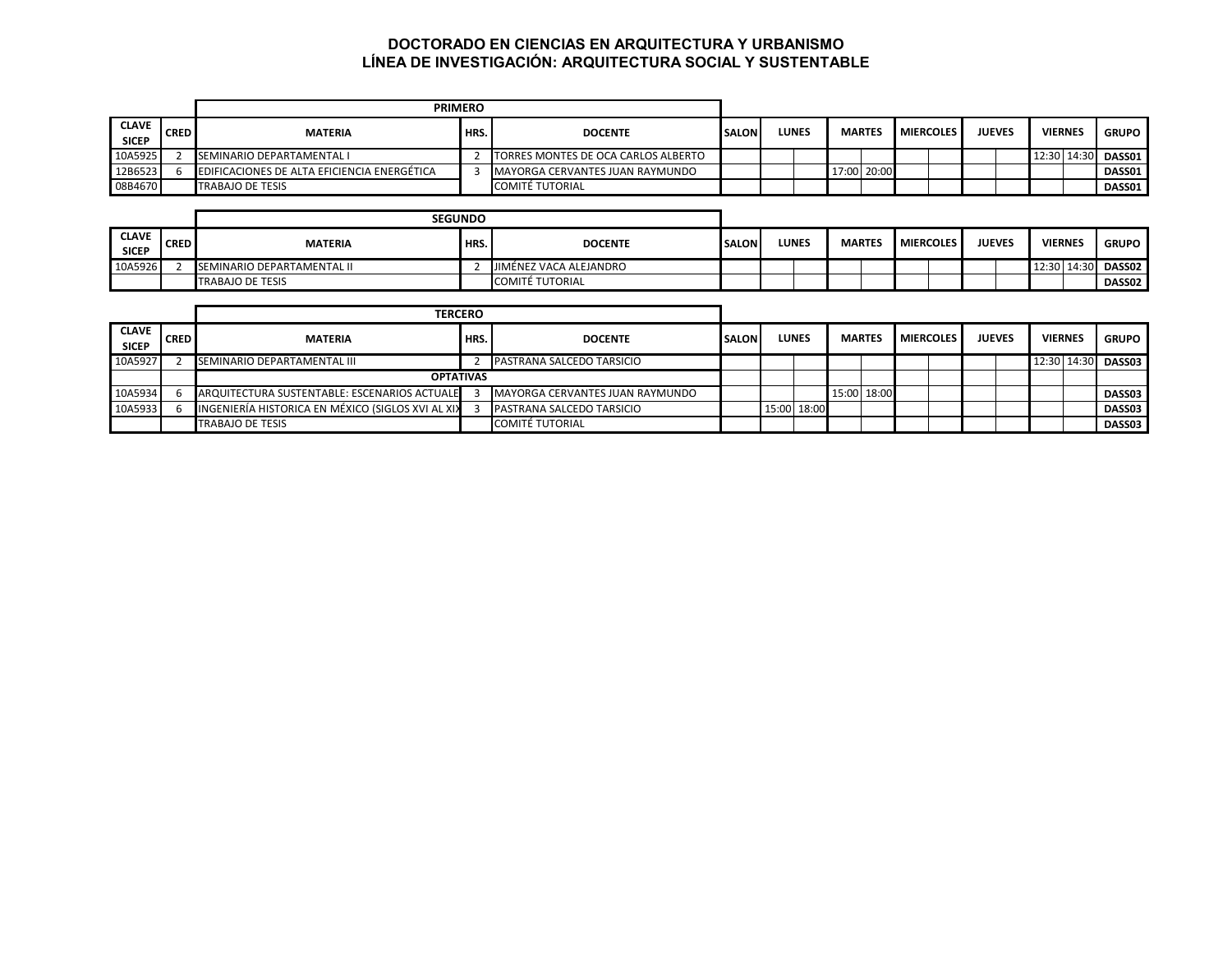## **DOCTORADO EN CIENCIAS EN ARQUITECTURA Y URBANISMO LÍNEA DE INVESTIGACIÓN: ARQUITECTURA SOCIAL Y SUSTENTABLE**

|                              |             | <b>PRIMERO</b>                                     |      |                                     |              |       |               |                  |               |                    |              |
|------------------------------|-------------|----------------------------------------------------|------|-------------------------------------|--------------|-------|---------------|------------------|---------------|--------------------|--------------|
| <b>CLAVE</b><br><b>SICEP</b> | <b>CRED</b> | <b>MATERIA</b>                                     | HRS. | <b>DOCENTE</b>                      | <b>SALON</b> | LUNES | <b>MARTES</b> | <b>MIERCOLES</b> | <b>JUEVES</b> | <b>VIERNES</b>     | <b>GRUPO</b> |
| 10A5925                      |             | <b>SEMINARIO DEPARTAMENTAL I</b>                   |      | TORRES MONTES DE OCA CARLOS ALBERTO |              |       |               |                  |               | 12:30 14:30 DASS01 |              |
| 12B6523                      |             | <b>EDIFICACIONES DE ALTA EFICIENCIA ENERGÉTICA</b> |      | MAYORGA CERVANTES JUAN RAYMUNDO     |              |       | 17:00 20:00   |                  |               |                    | DASS01       |
| 08B4670                      |             | <b>TRABAJO DE TESIS</b>                            |      | COMITÉ TUTORIAL                     |              |       |               |                  |               |                    | DASS01       |

|                              |             |                                   | <b>SEGUNDO</b> |                        |              |              |  |               |  |                    |  |               |                |                    |
|------------------------------|-------------|-----------------------------------|----------------|------------------------|--------------|--------------|--|---------------|--|--------------------|--|---------------|----------------|--------------------|
| <b>CLAVE</b><br><b>SICEP</b> | <b>CRED</b> | <b>MATERIA</b>                    | HRS.           | <b>DOCENTE</b>         | <b>SALON</b> | <b>LUNES</b> |  | <b>MARTES</b> |  | <b>I MIERCOLES</b> |  | <b>JUEVES</b> | <b>VIERNES</b> | <b>GRUPO</b>       |
| 10A5926                      |             | <b>SEMINARIO DEPARTAMENTAL II</b> |                | JIMÉNEZ VACA ALEJANDRO |              |              |  |               |  |                    |  |               |                | 12:30 14:30 DASS02 |
|                              |             | <b>TRABAJO DE TESIS</b>           |                | <b>COMITÉ TUTORIAL</b> |              |              |  |               |  |                    |  |               |                | DASS02             |

|                              |             | <b>TERCERO</b>                                    |      |                                 |              |              |             |               |  |                  |               |                |                    |
|------------------------------|-------------|---------------------------------------------------|------|---------------------------------|--------------|--------------|-------------|---------------|--|------------------|---------------|----------------|--------------------|
| <b>CLAVE</b><br><b>SICEP</b> | <b>CRED</b> | <b>MATERIA</b>                                    | HRS. | <b>DOCENTE</b>                  | <b>SALON</b> | <b>LUNES</b> |             | <b>MARTES</b> |  | <b>MIERCOLES</b> | <b>JUEVES</b> | <b>VIERNES</b> | <b>GRUPO</b>       |
| 10A5927                      |             | <b>SEMINARIO DEPARTAMENTAL III</b>                |      | PASTRANA SALCEDO TARSICIO       |              |              |             |               |  |                  |               |                | 12:30 14:30 DASS03 |
|                              |             | <b>OPTATIVAS</b>                                  |      |                                 |              |              |             |               |  |                  |               |                |                    |
| 10A5934                      |             | ARQUITECTURA SUSTENTABLE: ESCENARIOS ACTUALE      |      | MAYORGA CERVANTES JUAN RAYMUNDO |              |              |             | 15:00 18:00   |  |                  |               |                | DASS03             |
| 10A5933                      |             | INGENIERÍA HISTORICA EN MÉXICO (SIGLOS XVI AL XIX |      | PASTRANA SALCEDO TARSICIO       |              |              | 15:00 18:00 |               |  |                  |               |                | <b>DASS03</b>      |
|                              |             | <b>TRABAJO DE TESIS</b>                           |      | <b>COMITÉ TUTORIAL</b>          |              |              |             |               |  |                  |               |                | <b>DASS03</b>      |